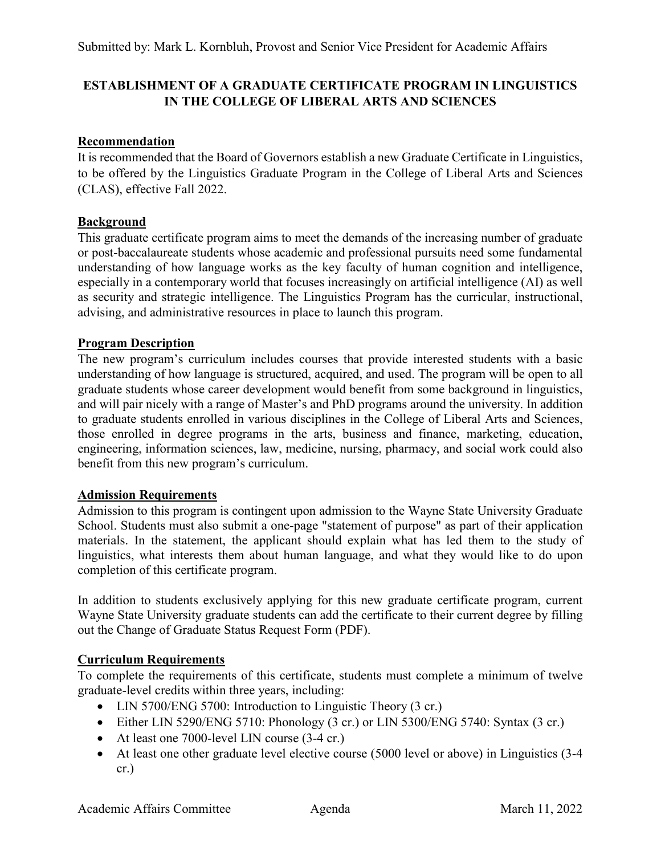# **ESTABLISHMENT OF A GRADUATE CERTIFICATE PROGRAM IN LINGUISTICS IN THE COLLEGE OF LIBERAL ARTS AND SCIENCES**

### **Recommendation**

It is recommended that the Board of Governors establish a new Graduate Certificate in Linguistics, to be offered by the Linguistics Graduate Program in the College of Liberal Arts and Sciences (CLAS), effective Fall 2022.

### **Background**

This graduate certificate program aims to meet the demands of the increasing number of graduate or post-baccalaureate students whose academic and professional pursuits need some fundamental understanding of how language works as the key faculty of human cognition and intelligence, especially in a contemporary world that focuses increasingly on artificial intelligence (AI) as well as security and strategic intelligence. The Linguistics Program has the curricular, instructional, advising, and administrative resources in place to launch this program.

### **Program Description**

The new program's curriculum includes courses that provide interested students with a basic understanding of how language is structured, acquired, and used. The program will be open to all graduate students whose career development would benefit from some background in linguistics, and will pair nicely with a range of Master's and PhD programs around the university. In addition to graduate students enrolled in various disciplines in the College of Liberal Arts and Sciences, those enrolled in degree programs in the arts, business and finance, marketing, education, engineering, information sciences, law, medicine, nursing, pharmacy, and social work could also benefit from this new program's curriculum.

#### **Admission Requirements**

Admission to this program is contingent upon admission to the Wayne State University [Graduate](https://gradschool.wayne.edu/admissions)  [School.](https://gradschool.wayne.edu/admissions) Students must also submit a one-page "statement of purpose" as part of their application materials. In the statement, the applicant should explain what has led them to the study of linguistics, what interests them about human language, and what they would like to do upon completion of this certificate program.

In addition to students exclusively applying for this new graduate certificate program, current Wayne State University graduate students can add the certificate to their current degree by filling out the [Change of Graduate Status Request Form \(PDF\).](https://wayne.edu/admissions/pdf/changeofstatus.pdf)

#### **Curriculum Requirements**

To complete the requirements of this certificate, students must complete a minimum of twelve graduate-level credits within three years, including:

- LIN 5700/ENG 5700: Introduction to Linguistic Theory (3 cr.)
- Either LIN 5290/ENG 5710: Phonology (3 cr.) or LIN 5300/ENG 5740: Syntax (3 cr.)
- At least one 7000-level LIN course (3-4 cr.)
- At least one other graduate level elective course (5000 level or above) in Linguistics (3-4 cr.)